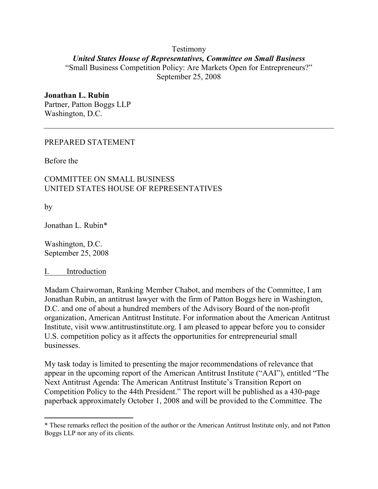## Testimony United States House of Representatives, Committee on Small Business "Small Business Competition Policy: Are Markets Open for Entrepreneurs?" September 25, 2008

#### Jonathan L. Rubin Partner, Patton Boggs LLP Washington, D.C.

### PREPARED STATEMENT

Before the

## COMMITTEE ON SMALL BUSINESS UNITED STATES HOUSE OF REPRESENTATIVES

by

 $\overline{a}$ 

Jonathan L. Rubin\*

Washington, D.C. September 25, 2008

#### I. Introduction

Madam Chairwoman, Ranking Member Chabot, and members of the Committee, I am Jonathan Rubin, an antitrust lawyer with the firm of Patton Boggs here in Washington, D.C. and one of about a hundred members of the Advisory Board of the non-profit organization, American Antitrust Institute. For information about the American Antitrust Institute, visit www.antitrustinstitute.org. I am pleased to appear before you to consider U.S. competition policy as it affects the opportunities for entrepreneurial small businesses.

My task today is limited to presenting the major recommendations of relevance that appear in the upcoming report of the American Antitrust Institute ("AAI"), entitled "The Next Antitrust Agenda: The American Antitrust Institute's Transition Report on Competition Policy to the 44th President." The report will be published as a 430-page paperback approximately October 1, 2008 and will be provided to the Committee. The

<sup>\*</sup> These remarks reflect the position of the author or the American Antitrust Institute only, and not Patton Boggs LLP nor any of its clients.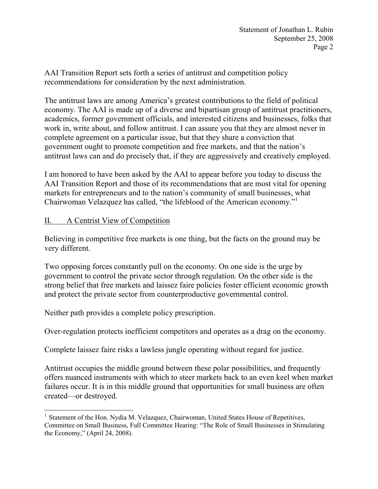AAI Transition Report sets forth a series of antitrust and competition policy recommendations for consideration by the next administration.

The antitrust laws are among America's greatest contributions to the field of political economy. The AAI is made up of a diverse and bipartisan group of antitrust practitioners, academics, former government officials, and interested citizens and businesses, folks that work in, write about, and follow antitrust. I can assure you that they are almost never in complete agreement on a particular issue, but that they share a conviction that government ought to promote competition and free markets, and that the nation's antitrust laws can and do precisely that, if they are aggressively and creatively employed.

I am honored to have been asked by the AAI to appear before you today to discuss the AAI Transition Report and those of its recommendations that are most vital for opening markets for entrepreneurs and to the nation's community of small businesses, what Chairwoman Velazquez has called, "the lifeblood of the American economy."<sup>1</sup>

# II. A Centrist View of Competition

Believing in competitive free markets is one thing, but the facts on the ground may be very different.

Two opposing forces constantly pull on the economy. On one side is the urge by government to control the private sector through regulation. On the other side is the strong belief that free markets and laissez faire policies foster efficient economic growth and protect the private sector from counterproductive governmental control.

Neither path provides a complete policy prescription.

Over-regulation protects inefficient competitors and operates as a drag on the economy.

Complete laissez faire risks a lawless jungle operating without regard for justice.

Antitrust occupies the middle ground between these polar possibilities, and frequently offers nuanced instruments with which to steer markets back to an even keel when market failures occur. It is in this middle ground that opportunities for small business are often created—or destroyed.

 $\overline{a}$ <sup>1</sup> Statement of the Hon. Nydia M. Velazquez, Chairwoman, United States House of Repetitives, Committee on Small Business, Full Committee Hearing: "The Role of Small Businesses in Stimulating the Economy," (April 24, 2008).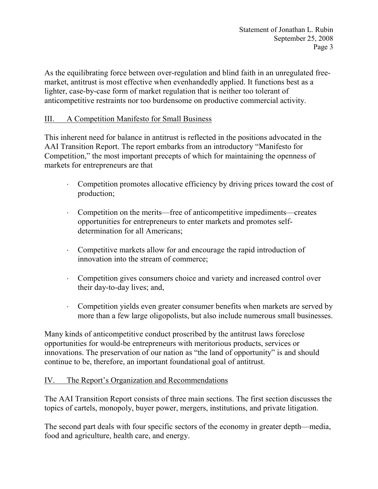Statement of Jonathan L. Rubin September 25, 2008 Page 3

As the equilibrating force between over-regulation and blind faith in an unregulated freemarket, antitrust is most effective when evenhandedly applied. It functions best as a lighter, case-by-case form of market regulation that is neither too tolerant of anticompetitive restraints nor too burdensome on productive commercial activity.

## III. A Competition Manifesto for Small Business

This inherent need for balance in antitrust is reflected in the positions advocated in the AAI Transition Report. The report embarks from an introductory "Manifesto for Competition," the most important precepts of which for maintaining the openness of markets for entrepreneurs are that

- ⋅ Competition promotes allocative efficiency by driving prices toward the cost of production;
- ⋅ Competition on the merits—free of anticompetitive impediments—creates opportunities for entrepreneurs to enter markets and promotes selfdetermination for all Americans;
- ⋅ Competitive markets allow for and encourage the rapid introduction of innovation into the stream of commerce;
- ⋅ Competition gives consumers choice and variety and increased control over their day-to-day lives; and,
- Competition yields even greater consumer benefits when markets are served by more than a few large oligopolists, but also include numerous small businesses.

Many kinds of anticompetitive conduct proscribed by the antitrust laws foreclose opportunities for would-be entrepreneurs with meritorious products, services or innovations. The preservation of our nation as "the land of opportunity" is and should continue to be, therefore, an important foundational goal of antitrust.

## IV. The Report's Organization and Recommendations

The AAI Transition Report consists of three main sections. The first section discusses the topics of cartels, monopoly, buyer power, mergers, institutions, and private litigation.

The second part deals with four specific sectors of the economy in greater depth—media, food and agriculture, health care, and energy.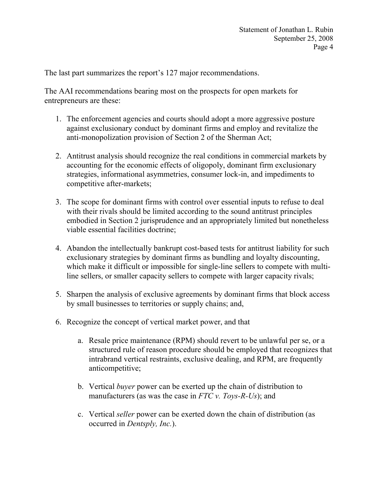The last part summarizes the report's 127 major recommendations.

The AAI recommendations bearing most on the prospects for open markets for entrepreneurs are these:

- 1. The enforcement agencies and courts should adopt a more aggressive posture against exclusionary conduct by dominant firms and employ and revitalize the anti-monopolization provision of Section 2 of the Sherman Act;
- 2. Antitrust analysis should recognize the real conditions in commercial markets by accounting for the economic effects of oligopoly, dominant firm exclusionary strategies, informational asymmetries, consumer lock-in, and impediments to competitive after-markets;
- 3. The scope for dominant firms with control over essential inputs to refuse to deal with their rivals should be limited according to the sound antitrust principles embodied in Section 2 jurisprudence and an appropriately limited but nonetheless viable essential facilities doctrine;
- 4. Abandon the intellectually bankrupt cost-based tests for antitrust liability for such exclusionary strategies by dominant firms as bundling and loyalty discounting, which make it difficult or impossible for single-line sellers to compete with multiline sellers, or smaller capacity sellers to compete with larger capacity rivals;
- 5. Sharpen the analysis of exclusive agreements by dominant firms that block access by small businesses to territories or supply chains; and,
- 6. Recognize the concept of vertical market power, and that
	- a. Resale price maintenance (RPM) should revert to be unlawful per se, or a structured rule of reason procedure should be employed that recognizes that intrabrand vertical restraints, exclusive dealing, and RPM, are frequently anticompetitive;
	- b. Vertical buyer power can be exerted up the chain of distribution to manufacturers (as was the case in  $FTC$  v. Toys-R-Us); and
	- c. Vertical seller power can be exerted down the chain of distribution (as occurred in Dentsply, Inc.).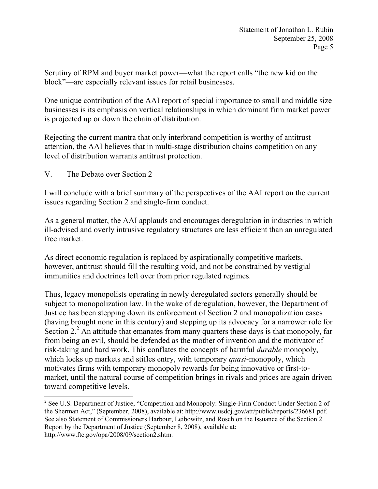Scrutiny of RPM and buyer market power—what the report calls "the new kid on the block"—are especially relevant issues for retail businesses.

One unique contribution of the AAI report of special importance to small and middle size businesses is its emphasis on vertical relationships in which dominant firm market power is projected up or down the chain of distribution.

Rejecting the current mantra that only interbrand competition is worthy of antitrust attention, the AAI believes that in multi-stage distribution chains competition on any level of distribution warrants antitrust protection.

## V. The Debate over Section 2

I will conclude with a brief summary of the perspectives of the AAI report on the current issues regarding Section 2 and single-firm conduct.

As a general matter, the AAI applauds and encourages deregulation in industries in which ill-advised and overly intrusive regulatory structures are less efficient than an unregulated free market.

As direct economic regulation is replaced by aspirationally competitive markets, however, antitrust should fill the resulting void, and not be constrained by vestigial immunities and doctrines left over from prior regulated regimes.

Thus, legacy monopolists operating in newly deregulated sectors generally should be subject to monopolization law. In the wake of deregulation, however, the Department of Justice has been stepping down its enforcement of Section 2 and monopolization cases (having brought none in this century) and stepping up its advocacy for a narrower role for Section  $2<sup>2</sup>$  An attitude that emanates from many quarters these days is that monopoly, far from being an evil, should be defended as the mother of invention and the motivator of risk-taking and hard work. This conflates the concepts of harmful durable monopoly, which locks up markets and stifles entry, with temporary *quasi*-monopoly, which motivates firms with temporary monopoly rewards for being innovative or first-tomarket, until the natural course of competition brings in rivals and prices are again driven toward competitive levels.

l <sup>2</sup> See U.S. Department of Justice, "Competition and Monopoly: Single-Firm Conduct Under Section 2 of the Sherman Act," (September, 2008), available at: http://www.usdoj.gov/atr/public/reports/236681.pdf. See also Statement of Commissioners Harbour, Leibowitz, and Rosch on the Issuance of the Section 2 Report by the Department of Justice (September 8, 2008), available at: http://www.ftc.gov/opa/2008/09/section2.shtm.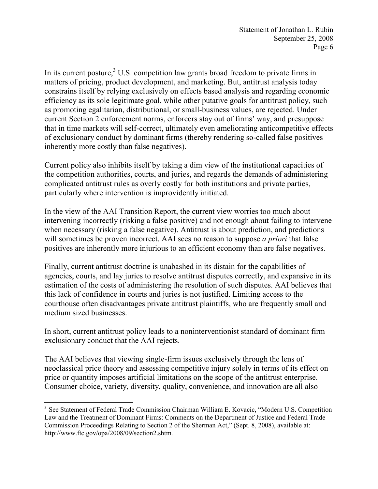In its current posture, $3 \text{ U.S.}$  competition law grants broad freedom to private firms in matters of pricing, product development, and marketing. But, antitrust analysis today constrains itself by relying exclusively on effects based analysis and regarding economic efficiency as its sole legitimate goal, while other putative goals for antitrust policy, such as promoting egalitarian, distributional, or small-business values, are rejected. Under current Section 2 enforcement norms, enforcers stay out of firms' way, and presuppose that in time markets will self-correct, ultimately even ameliorating anticompetitive effects of exclusionary conduct by dominant firms (thereby rendering so-called false positives inherently more costly than false negatives).

Current policy also inhibits itself by taking a dim view of the institutional capacities of the competition authorities, courts, and juries, and regards the demands of administering complicated antitrust rules as overly costly for both institutions and private parties, particularly where intervention is improvidently initiated.

In the view of the AAI Transition Report, the current view worries too much about intervening incorrectly (risking a false positive) and not enough about failing to intervene when necessary (risking a false negative). Antitrust is about prediction, and predictions will sometimes be proven incorrect. AAI sees no reason to suppose *a priori* that false positives are inherently more injurious to an efficient economy than are false negatives.

Finally, current antitrust doctrine is unabashed in its distain for the capabilities of agencies, courts, and lay juries to resolve antitrust disputes correctly, and expansive in its estimation of the costs of administering the resolution of such disputes. AAI believes that this lack of confidence in courts and juries is not justified. Limiting access to the courthouse often disadvantages private antitrust plaintiffs, who are frequently small and medium sized businesses.

In short, current antitrust policy leads to a noninterventionist standard of dominant firm exclusionary conduct that the AAI rejects.

The AAI believes that viewing single-firm issues exclusively through the lens of neoclassical price theory and assessing competitive injury solely in terms of its effect on price or quantity imposes artificial limitations on the scope of the antitrust enterprise. Consumer choice, variety, diversity, quality, convenience, and innovation are all also

 $\overline{a}$ <sup>3</sup> See Statement of Federal Trade Commission Chairman William E. Kovacic, "Modern U.S. Competition Law and the Treatment of Dominant Firms: Comments on the Department of Justice and Federal Trade Commission Proceedings Relating to Section 2 of the Sherman Act," (Sept. 8, 2008), available at: http://www.ftc.gov/opa/2008/09/section2.shtm.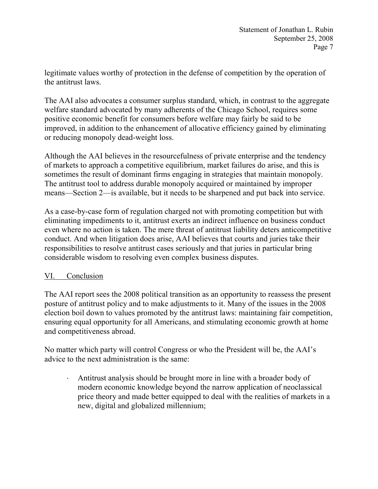legitimate values worthy of protection in the defense of competition by the operation of the antitrust laws.

The AAI also advocates a consumer surplus standard, which, in contrast to the aggregate welfare standard advocated by many adherents of the Chicago School, requires some positive economic benefit for consumers before welfare may fairly be said to be improved, in addition to the enhancement of allocative efficiency gained by eliminating or reducing monopoly dead-weight loss.

Although the AAI believes in the resourcefulness of private enterprise and the tendency of markets to approach a competitive equilibrium, market failures do arise, and this is sometimes the result of dominant firms engaging in strategies that maintain monopoly. The antitrust tool to address durable monopoly acquired or maintained by improper means—Section 2—is available, but it needs to be sharpened and put back into service.

As a case-by-case form of regulation charged not with promoting competition but with eliminating impediments to it, antitrust exerts an indirect influence on business conduct even where no action is taken. The mere threat of antitrust liability deters anticompetitive conduct. And when litigation does arise, AAI believes that courts and juries take their responsibilities to resolve antitrust cases seriously and that juries in particular bring considerable wisdom to resolving even complex business disputes.

## VI. Conclusion

The AAI report sees the 2008 political transition as an opportunity to reassess the present posture of antitrust policy and to make adjustments to it. Many of the issues in the 2008 election boil down to values promoted by the antitrust laws: maintaining fair competition, ensuring equal opportunity for all Americans, and stimulating economic growth at home and competitiveness abroad.

No matter which party will control Congress or who the President will be, the AAI's advice to the next administration is the same:

Antitrust analysis should be brought more in line with a broader body of modern economic knowledge beyond the narrow application of neoclassical price theory and made better equipped to deal with the realities of markets in a new, digital and globalized millennium;